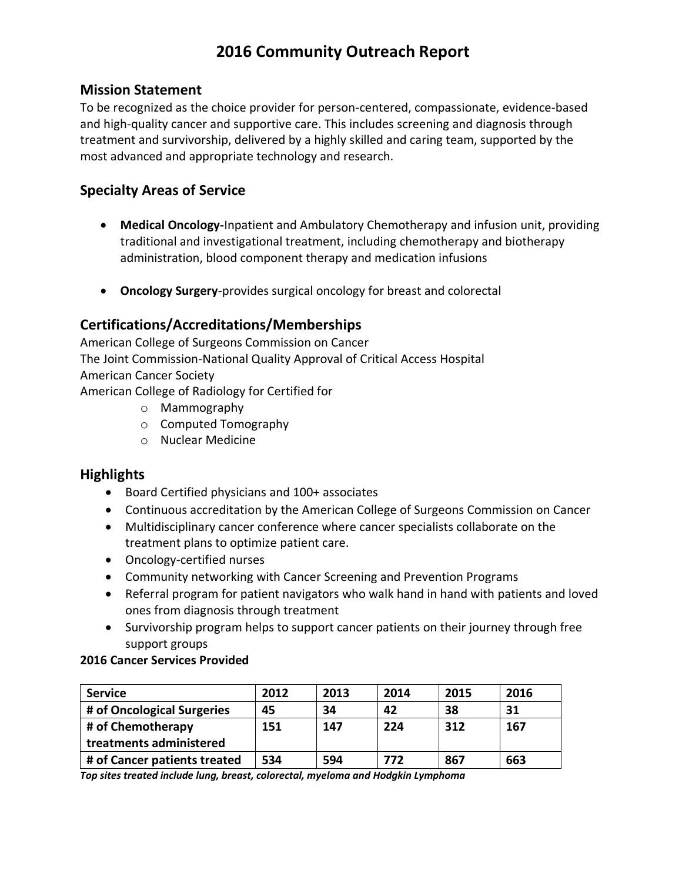# **2016 Community Outreach Report**

### **Mission Statement**

To be recognized as the choice provider for person-centered, compassionate, evidence-based and high-quality cancer and supportive care. This includes screening and diagnosis through treatment and survivorship, delivered by a highly skilled and caring team, supported by the most advanced and appropriate technology and research.

## **Specialty Areas of Service**

- **Medical Oncology-**Inpatient and Ambulatory Chemotherapy and infusion unit, providing traditional and investigational treatment, including chemotherapy and biotherapy administration, blood component therapy and medication infusions
- **Oncology Surgery**-provides surgical oncology for breast and colorectal

# **Certifications/Accreditations/Memberships**

American College of Surgeons Commission on Cancer The Joint Commission-National Quality Approval of Critical Access Hospital American Cancer Society American College of Radiology for Certified for

- o Mammography
- o Computed Tomography
- o Nuclear Medicine

## **Highlights**

- Board Certified physicians and 100+ associates
- Continuous accreditation by the American College of Surgeons Commission on Cancer
- Multidisciplinary cancer conference where cancer specialists collaborate on the treatment plans to optimize patient care.
- Oncology-certified nurses
- Community networking with Cancer Screening and Prevention Programs
- Referral program for patient navigators who walk hand in hand with patients and loved ones from diagnosis through treatment
- Survivorship program helps to support cancer patients on their journey through free support groups

#### **2016 Cancer Services Provided**

| <b>Service</b>               | 2012 | 2013 | 2014 | 2015 | 2016 |
|------------------------------|------|------|------|------|------|
| # of Oncological Surgeries   | 45   | 34   | 42   | 38   | 31   |
| # of Chemotherapy            | 151  | 147  | 224  | 312  | 167  |
| treatments administered      |      |      |      |      |      |
| # of Cancer patients treated | 534  | 594  | 772  | 867  | 663  |

*Top sites treated include lung, breast, colorectal, myeloma and Hodgkin Lymphoma*